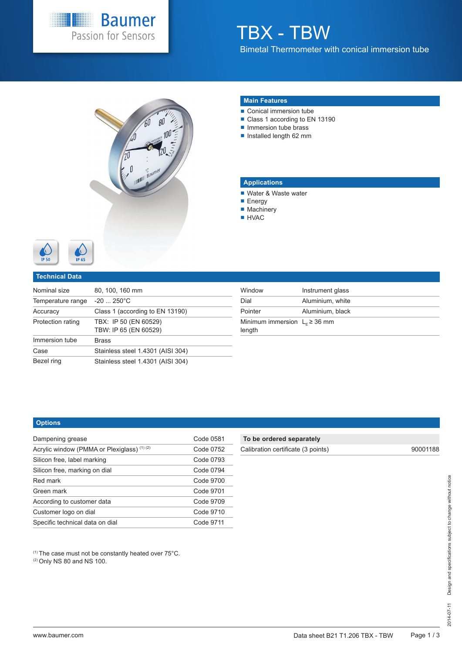

# TBX - TBW Bimetal Thermometer with conical immersion tube



#### **Main Features**

- Conical immersion tube
- Class 1 according to EN 13190
- Immersion tube brass
- $\blacksquare$  Installed length 62 mm

## **Applications**

- Water & Waste water
- **Energy**
- Machinery
- **HVAC**



#### **Technical Data**

| Nominal size      | 80, 100, 160 mm                                |
|-------------------|------------------------------------------------|
| Temperature range | $-20$ 250 $^{\circ}$ C                         |
| Accuracy          | Class 1 (according to EN 13190)                |
| Protection rating | TBX: IP 50 (EN 60529)<br>TBW: IP 65 (EN 60529) |
| Immersion tube    | <b>Brass</b>                                   |
| Case              | Stainless steel 1.4301 (AISI 304)              |
| Bezel ring        | Stainless steel 1.4301 (AISI 304)              |

| Window                                       | Instrument glass |
|----------------------------------------------|------------------|
| Dial                                         | Aluminium, white |
| Pointer                                      | Aluminium, black |
| Minimum immersion $L_F \geq 36$ mm<br>length |                  |

#### **Options**

| Dampening grease                            | Code 0581 |
|---------------------------------------------|-----------|
| Acrylic window (PMMA or Plexiglass) (1) (2) | Code 0752 |
| Silicon free, label marking                 | Code 0793 |
| Silicon free, marking on dial               | Code 0794 |
| Red mark                                    | Code 9700 |
| Green mark                                  | Code 9701 |
| According to customer data                  | Code 9709 |
| Customer logo on dial                       | Code 9710 |
| Specific technical data on dial             | Code 9711 |

(1) The case must not be constantly heated over 75°C.

(2) Only NS 80 and NS 100.

## **To be ordered separately**

| Calibration certificate (3 points) |  |
|------------------------------------|--|
|------------------------------------|--|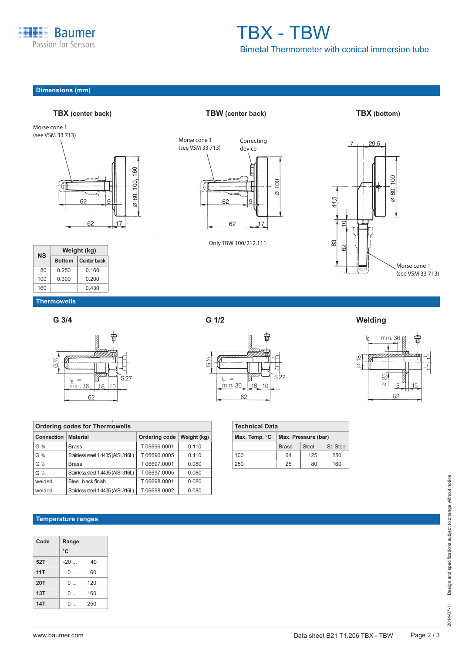

# TBX - TBW Bimetal Thermometer with conical immersion tube

# **Dimensions (mm)**



| NS  |               | Weight (kg)        |
|-----|---------------|--------------------|
|     | <b>Bottom</b> | <b>Center back</b> |
| 80  | 0.250         | 0.160              |
| 100 | 0.300         | 0.200              |
| 160 |               | 0.430              |

# **TBX (center back) TBW (center back) TBX (bottom)**



Only TBW 100/212.111



# **Thermowells**





| $\searrow^{\circ}$<br>(Γ | nuumaaa |  |
|--------------------------|---------|--|
|                          |         |  |

device



**G 3/4 G 1/2 Welding**



| <b>Ordering codes for Thermowells</b> |                                    |               |             |  |  |  |  |  |  |  |  |  |
|---------------------------------------|------------------------------------|---------------|-------------|--|--|--|--|--|--|--|--|--|
| Connection                            | <b>Material</b>                    | Ordering code | Weight (kg) |  |  |  |  |  |  |  |  |  |
| $G \frac{3}{4}$                       | <b>Brass</b>                       | T06696.0001   | 0.110       |  |  |  |  |  |  |  |  |  |
| $G \frac{3}{4}$                       | Stainless steel 1.4435 (AISI 316L) | T06696.0005   | 0.110       |  |  |  |  |  |  |  |  |  |
| $G\%$                                 | <b>Brass</b>                       | T06697.0001   | 0.080       |  |  |  |  |  |  |  |  |  |
| $G\%$                                 | Stainless steel 1.4435 (AISI 316L) | T06697.0005   | 0.080       |  |  |  |  |  |  |  |  |  |
| welded                                | Steel, black finish                | T06698.0001   | 0.080       |  |  |  |  |  |  |  |  |  |
| welded                                | Stainless steel 1.4435 (AISI 316L) | T06698.0002   | 0.080       |  |  |  |  |  |  |  |  |  |

(see VSM 33 713)<br>(see VSM 33 713)

# **Temperature ranges**

| Code | Range             |     |
|------|-------------------|-----|
|      | °C                |     |
| 52T  | $-20$             | 40  |
| 11T  | $\Omega$          | 60  |
| 20T  | $\Omega$          | 120 |
| 13T  | $\Omega$          | 160 |
| 14T  | $\mathsf{\Omega}$ | 250 |

| 5              | 18           | 10            |              |                   |
|----------------|--------------|---------------|--------------|-------------------|
| 62             |              |               |              |                   |
|                |              |               |              |                   |
|                |              |               |              |                   |
|                |              | echnical Data |              |                   |
|                | ax. Temp. °C |               |              | Max. Pressure (ba |
|                |              |               | <b>Brass</b> | <b>Steel</b>      |
| $\overline{0}$ |              |               | 64           | 125               |
|                |              |               |              |                   |

**Technical Data Max. Temp. °C Max. Pressure (bar)** St. Steel 100 64 125 250 250 25 80 160